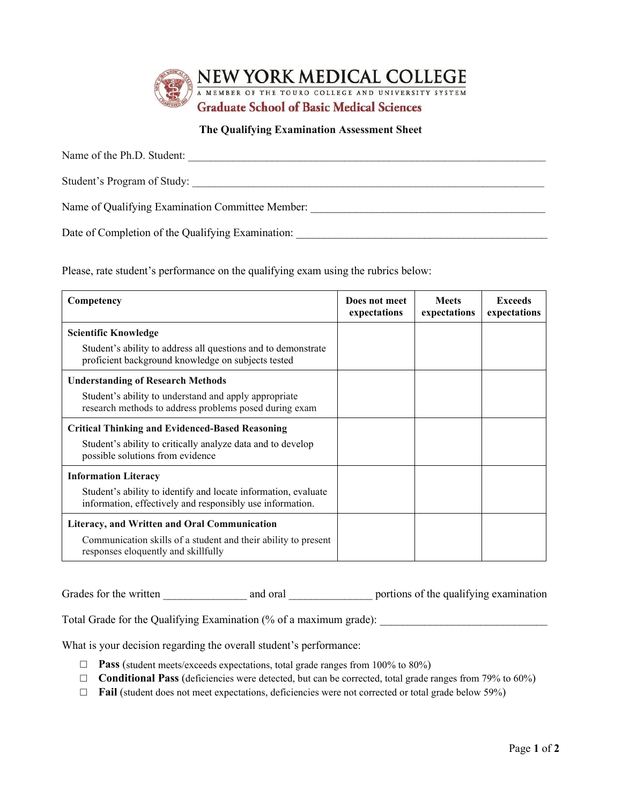

## **The Qualifying Examination Assessment Sheet**

| Name of the Ph.D. Student:                        |
|---------------------------------------------------|
| Student's Program of Study:                       |
| Name of Qualifying Examination Committee Member:  |
| Date of Completion of the Qualifying Examination: |

Please, rate student's performance on the qualifying exam using the rubrics below:

| Competency                                                                                                                  | Does not meet<br>expectations | <b>Meets</b><br>expectations | <b>Exceeds</b><br>expectations |
|-----------------------------------------------------------------------------------------------------------------------------|-------------------------------|------------------------------|--------------------------------|
| <b>Scientific Knowledge</b>                                                                                                 |                               |                              |                                |
| Student's ability to address all questions and to demonstrate<br>proficient background knowledge on subjects tested         |                               |                              |                                |
| <b>Understanding of Research Methods</b>                                                                                    |                               |                              |                                |
| Student's ability to understand and apply appropriate<br>research methods to address problems posed during exam             |                               |                              |                                |
| <b>Critical Thinking and Evidenced-Based Reasoning</b>                                                                      |                               |                              |                                |
| Student's ability to critically analyze data and to develop<br>possible solutions from evidence                             |                               |                              |                                |
| <b>Information Literacy</b>                                                                                                 |                               |                              |                                |
| Student's ability to identify and locate information, evaluate<br>information, effectively and responsibly use information. |                               |                              |                                |
| Literacy, and Written and Oral Communication                                                                                |                               |                              |                                |
| Communication skills of a student and their ability to present<br>responses eloquently and skillfully                       |                               |                              |                                |

Grades for the written \_\_\_\_\_\_\_\_\_\_\_\_\_\_\_\_\_\_\_\_\_ and oral \_\_\_\_\_\_\_\_\_\_\_\_\_\_\_\_\_\_\_\_ portions of the qualifying examination

Total Grade for the Qualifying Examination (% of a maximum grade): \_\_\_\_\_\_\_\_\_\_\_\_\_\_\_\_\_\_\_\_\_\_\_\_\_\_\_\_\_\_

What is your decision regarding the overall student's performance:

- □ **Pass** (student meets/exceeds expectations, total grade ranges from 100% to 80%)
- □ **Conditional Pass** (deficiencies were detected, but can be corrected, total grade ranges from 79% to 60%)
- □ **Fail** (student does not meet expectations, deficiencies were not corrected or total grade below 59%)